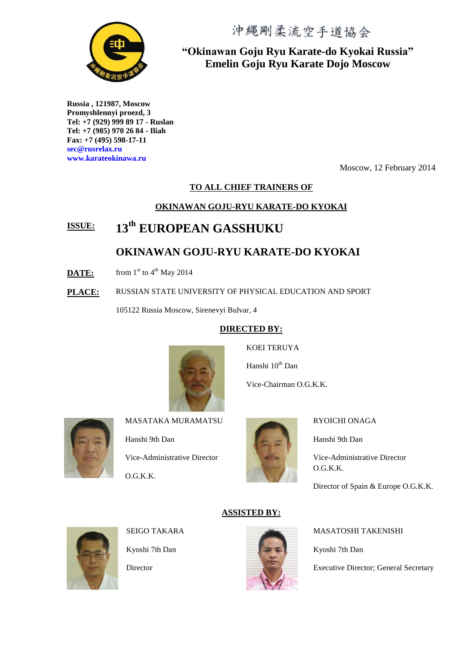沖縄剛柔流空手道協会



**"Okinawan Goju Ryu Karate-do Kyokai Russia" Emelin Goju Ryu Karate Dojo Moscow**

**Russia , 121987, Moscow Promyshlennyi proezd, 3 Tel: +7 (929) 999 89 17 - Ruslan Tel: +7 (985) 970 26 84 - Iliah Fax: +7 (495) 598-17-11 sec@rusrelax.ru www.karateokinawa.ru** 

Moscow, 12 February 2014

#### **TO ALL CHIEF TRAINERS OF**

#### **OKINAWAN GOJU-RYU KARATE-DO KYOKAI**

## **ISSUE: 13th EUROPEAN GASSHUKU**

## **OKINAWAN GOJU-RYU KARATE-DO KYOKAI**

- **DATE:** from  $1<sup>st</sup>$  to  $4<sup>th</sup>$  May 2014
- **PLACE:** RUSSIAN STATE UNIVERSITY OF PHYSICAL EDUCATION AND SPORT

105122 Russia Moscow, Sirenevyi Bulvar, 4

#### **DIRECTED BY:**



KOEI TERUYA

Hanshi 10<sup>th</sup> Dan

Vice-Chairman O.G.K.K.



MASATAKA MURAMATSU

Hanshi 9th Dan Vice-Administrative Director O.G.K.K.



#### RYOICHI ONAGA

Hanshi 9th Dan

Vice-Administrative Director O.G.K.K.

Director of Spain & Europe O.G.K.K.



SEIGO TAKARA

Kyoshi 7th Dan

**Director** 



**ASSISTED BY:**

MASATOSHI TAKENISHI

Kyoshi 7th Dan

Executive Director; General Secretary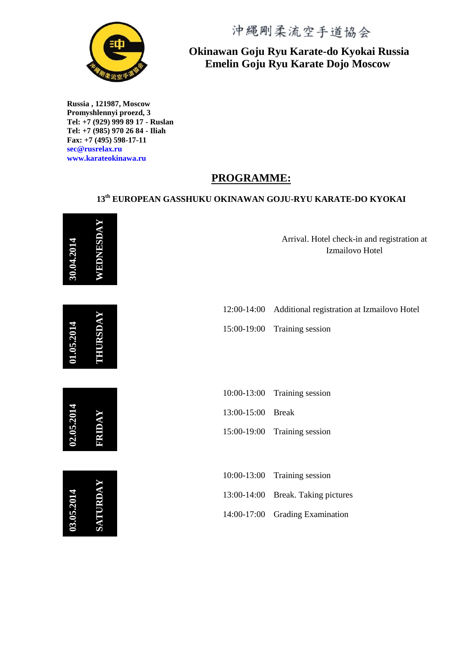

**Russia , 121987, Moscow Promyshlennyi proezd, 3 Tel: +7 (929) 999 89 17 - Ruslan Tel: +7 (985) 970 26 84 - Iliah Fax: +7 (495) 598-17-11 sec@rusrelax.ru www.karateokinawa.ru**

# 沖縄剛柔流空手道協会

## **Okinawan Goju Ryu Karate-do Kyokai Russia Emelin Goju Ryu Karate Dojo Moscow**

## **PROGRAMME:**

## **13th EUROPEAN GASSHUKU OKINAWAN GOJU-RYU KARATE-DO KYOKAI**

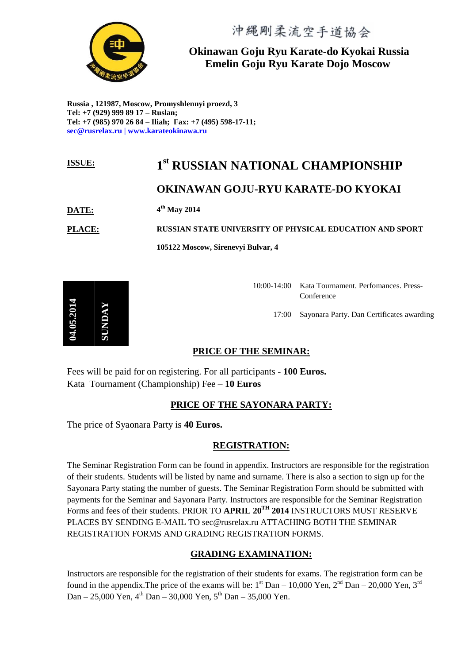

#### **Okinawan Goju Ryu Karate-do Kyokai Russia Emelin Goju Ryu Karate Dojo Moscow**

**Russia , 121987, Moscow, Promyshlennyi proezd, 3 Tel: +7 (929) 999 89 17 – Ruslan; Tel: +7 (985) 970 26 84 – Iliah; Fax: +7 (495) 598-17-11; sec@rusrelax.ru | www.karateokinawa.ru**

#### **ISSUE: 1 st RUSSIAN NATIONAL CHAMPIONSHIP**

## **OKINAWAN GOJU-RYU KARATE-DO KYOKAI**

#### **DATE: 4 th May 2014**

**14.05.201** 

**SUNDAY**

**PLACE: RUSSIAN STATE UNIVERSITY OF PHYSICAL EDUCATION AND SPORT**

**105122 Moscow, Sirenevyi Bulvar, 4**

10:00-14:00 Kata Tournament. Perfomances. Press-Conference 17:00 Sayonara Party. Dan Certificates awarding

#### **PRICE OF THE SEMINAR:**

Fees will be paid for on registering. For all participants - **100 Euros.**  Kata Tournament (Championship) Fee – **10 Euros**

#### **PRICE OF THE SAYONARA PARTY:**

The price of Syaonara Party is **40 Euros.**

#### **REGISTRATION:**

The Seminar Registration Form can be found in appendix. Instructors are responsible for the registration of their students. Students will be listed by name and surname. There is also a section to sign up for the Sayonara Party stating the number of guests. The Seminar Registration Form should be submitted with payments for the Seminar and Sayonara Party. Instructors are responsible for the Seminar Registration Forms and fees of their students. PRIOR TO **APRIL 20TH 2014** INSTRUCTORS MUST RESERVE PLACES BY SENDING E-MAIL TO sec@rusrelax.ru ATTACHING BOTH THE SEMINAR REGISTRATION FORMS AND GRADING REGISTRATION FORMS.

#### **GRADING EXAMINATION:**

Instructors are responsible for the registration of their students for exams. The registration form can be found in the appendix. The price of the exams will be:  $1^{st}$  Dan – 10,000 Yen,  $2^{nd}$  Dan – 20,000 Yen,  $3^{rd}$ Dan – 25,000 Yen,  $4^{th}$  Dan – 30,000 Yen,  $5^{th}$  Dan – 35,000 Yen.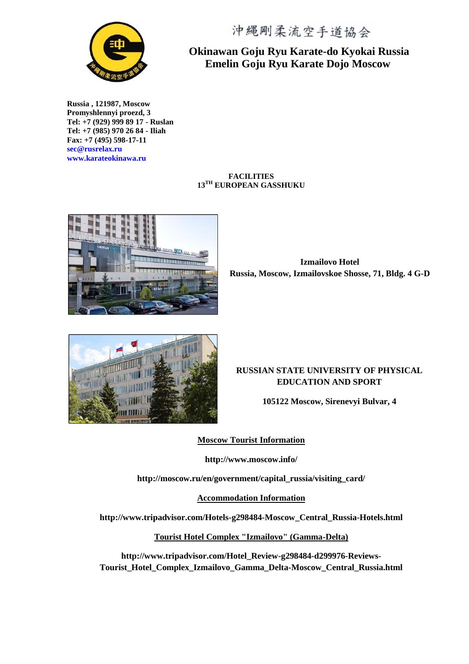

**Russia , 121987, Moscow Promyshlennyi proezd, 3 Tel: +7 (929) 999 89 17 - Ruslan Tel: +7 (985) 970 26 84 - Iliah Fax: +7 (495) 598-17-11 sec@rusrelax.ru www.karateokinawa.ru**

沖縄剛柔流空手道協会

#### **Okinawan Goju Ryu Karate-do Kyokai Russia Emelin Goju Ryu Karate Dojo Moscow**

**FACILITIES 13TH EUROPEAN GASSHUKU**



**Izmailovo Hotel Russia, Moscow, Izmailovskoe Shosse, 71, Bldg. 4 G-D**



#### **RUSSIAN STATE UNIVERSITY OF PHYSICAL EDUCATION AND SPORT**

**105122 Moscow, Sirenevyi Bulvar, 4**

**Moscow Tourist Information**

**http://www.moscow.info/**

**http://moscow.ru/en/government/capital\_russia/visiting\_card/**

**Accommodation Information**

**http://www.tripadvisor.com/Hotels-g298484-Moscow\_Central\_Russia-Hotels.html**

**Tourist Hotel Complex "Izmailovo" (Gamma-Delta)**

**http://www.tripadvisor.com/Hotel\_Review-g298484-d299976-Reviews-Tourist\_Hotel\_Complex\_Izmailovo\_Gamma\_Delta-Moscow\_Central\_Russia.html**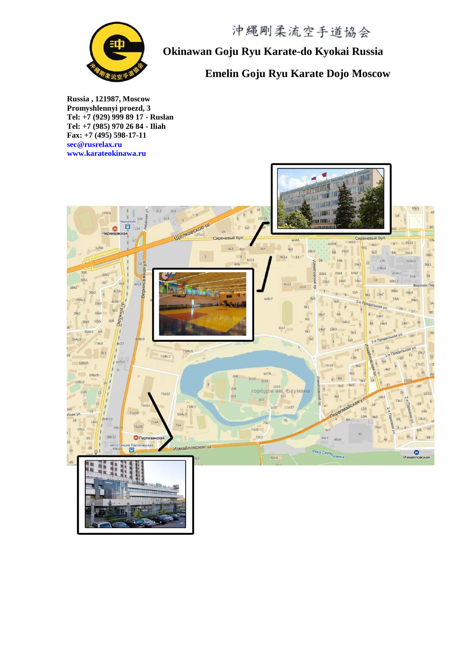

**Okinawan Goju Ryu Karate-do Kyokai Russia**

## **Emelin Goju Ryu Karate Dojo Moscow**

**Russia , 121987, Moscow Promyshlennyi proezd, 3 Tel: +7 (929) 999 89 17 - Ruslan Tel: +7 (985) 970 26 84 - Iliah Fax: +7 (495) 598-17-11 sec@rusrelax.ru www.karateokinawa.ru**

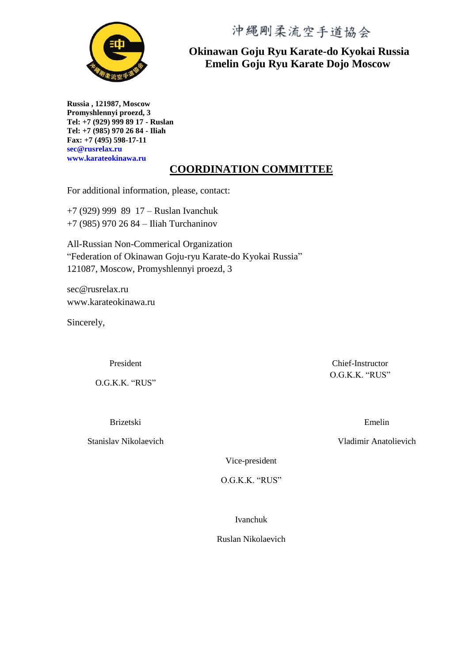沖縄剛柔流空手道協会



**Okinawan Goju Ryu Karate-do Kyokai Russia Emelin Goju Ryu Karate Dojo Moscow**

**Russia , 121987, Moscow Promyshlennyi proezd, 3 Tel: +7 (929) 999 89 17 - Ruslan Tel: +7 (985) 970 26 84 - Iliah Fax: +7 (495) 598-17-11 sec@rusrelax.ru www.karateokinawa.ru**

## **COORDINATION COMMITTEE**

For additional information, please, contact:

+7 (929) 999 89 17 – Ruslan Ivanchuk +7 (985) 970 26 84 – Iliah Turchaninov

All-Russian Non-Commerical Organization "Federation of Okinawan Goju-ryu Karate-do Kyokai Russia" 121087, Moscow, Promyshlennyi proezd, 3

sec@rusrelax.ru www.karateokinawa.ru

Sincerely,

President

O.G.K.K. "RUS"

Brizetski

Stanislav Nikolaevich

Chief-Instructor O.G.K.K. "RUS"

Emelin

Vladimir Anatolievich

Vice-president

O.G.K.K. "RUS"

Ivanchuk

Ruslan Nikolaevich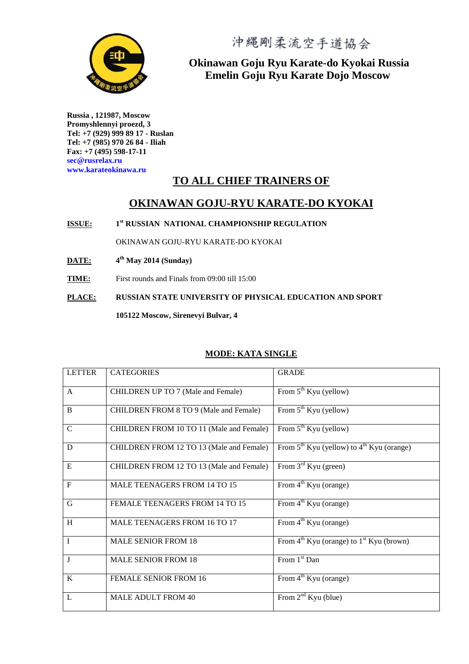

**Okinawan Goju Ryu Karate-do Kyokai Russia Emelin Goju Ryu Karate Dojo Moscow**

**Russia , 121987, Moscow Promyshlennyi proezd, 3 Tel: +7 (929) 999 89 17 - Ruslan Tel: +7 (985) 970 26 84 - Iliah Fax: +7 (495) 598-17-11 sec@rusrelax.ru www.karateokinawa.ru** 

## **TO ALL CHIEF TRAINERS OF**

#### **OKINAWAN GOJU-RYU KARATE-DO KYOKAI**

**ISSUE: 1 st RUSSIAN NATIONAL CHAMPIONSHIP REGULATION**

OKINAWAN GOJU-RYU KARATE-DO KYOKAI

- **DATE: 4 th May 2014 (Sunday)**
- **TIME:** First rounds and Finals from 09:00 till 15:00

**PLACE: RUSSIAN STATE UNIVERSITY OF PHYSICAL EDUCATION AND SPORT 105122 Moscow, Sirenevyi Bulvar, 4**

#### **MODE: KATA SINGLE**

| <b>LETTER</b>           | <b>CATEGORIES</b>                         | <b>GRADE</b>                                                     |
|-------------------------|-------------------------------------------|------------------------------------------------------------------|
|                         |                                           |                                                                  |
| $\mathsf{A}$            | <b>CHILDREN UP TO 7 (Male and Female)</b> | From $5^{th}$ Kyu (yellow)                                       |
|                         |                                           |                                                                  |
| B                       | CHILDREN FROM 8 TO 9 (Male and Female)    | From $5^{th}$ Kyu (yellow)                                       |
|                         |                                           |                                                                  |
| $\mathbf C$             | CHILDREN FROM 10 TO 11 (Male and Female)  | From $5^{th}$ Kyu (yellow)                                       |
|                         |                                           |                                                                  |
| D                       | CHILDREN FROM 12 TO 13 (Male and Female)  | From $5^{th}$ Kyu (yellow) to $4^{th}$ Kyu (orange)              |
| E                       | CHILDREN FROM 12 TO 13 (Male and Female)  | From $3rd$ Kyu (green)                                           |
|                         |                                           |                                                                  |
| $\overline{F}$          | <b>MALE TEENAGERS FROM 14 TO 15</b>       | From $4^{\text{th}}$ Kyu (orange)                                |
|                         |                                           |                                                                  |
| $\mathbf G$             | FEMALE TEENAGERS FROM 14 TO 15            | From $4^{\text{th}}$ Kyu (orange)                                |
|                         |                                           |                                                                  |
| $\, {\rm H}$            | MALE TEENAGERS FROM 16 TO 17              | From $4^{\text{th}}$ Kyu (orange)                                |
|                         |                                           |                                                                  |
| $\mathbf{I}$            | <b>MALE SENIOR FROM 18</b>                | From $4^{\text{th}}$ Kyu (orange) to $1^{\text{st}}$ Kyu (brown) |
|                         |                                           |                                                                  |
| $\overline{\mathbf{J}}$ | <b>MALE SENIOR FROM 18</b>                | From $1st$ Dan                                                   |
|                         |                                           |                                                                  |
| $\bf K$                 | <b>FEMALE SENIOR FROM 16</b>              | From 4 <sup>th</sup> Kyu (orange)                                |
|                         |                                           |                                                                  |
| $\mathbf{L}$            | <b>MALE ADULT FROM 40</b>                 | From $2nd$ Kyu (blue)                                            |
|                         |                                           |                                                                  |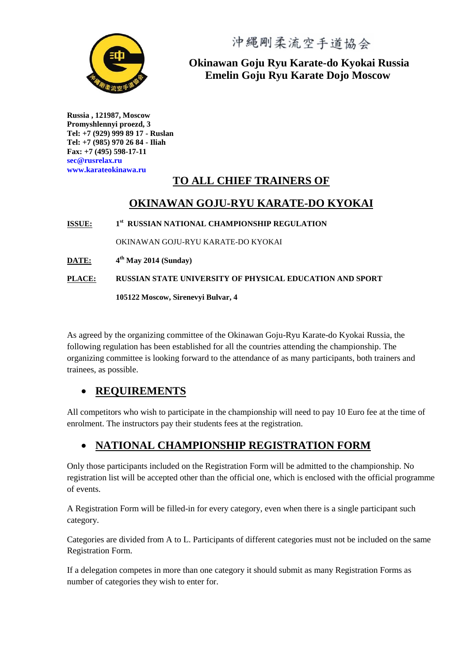

**Okinawan Goju Ryu Karate-do Kyokai Russia Emelin Goju Ryu Karate Dojo Moscow**

**Russia , 121987, Moscow Promyshlennyi proezd, 3 Tel: +7 (929) 999 89 17 - Ruslan Tel: +7 (985) 970 26 84 - Iliah Fax: +7 (495) 598-17-11 sec@rusrelax.ru www.karateokinawa.ru**

## **TO ALL CHIEF TRAINERS OF**

## **OKINAWAN GOJU-RYU KARATE-DO KYOKAI**

**ISSUE: 1 st RUSSIAN NATIONAL CHAMPIONSHIP REGULATION** OKINAWAN GOJU-RYU KARATE-DO KYOKAI **DATE: 4 th May 2014 (Sunday) PLACE: RUSSIAN STATE UNIVERSITY OF PHYSICAL EDUCATION AND SPORT 105122 Moscow, Sirenevyi Bulvar, 4**

As agreed by the organizing committee of the Okinawan Goju-Ryu Karate-do Kyokai Russia, the following regulation has been established for all the countries attending the championship. The organizing committee is looking forward to the attendance of as many participants, both trainers and trainees, as possible.

## **REQUIREMENTS**

All competitors who wish to participate in the championship will need to pay 10 Euro fee at the time of enrolment. The instructors pay their students fees at the registration.

## **NATIONAL CHAMPIONSHIP REGISTRATION FORM**

Only those participants included on the Registration Form will be admitted to the championship. No registration list will be accepted other than the official one, which is enclosed with the official programme of events.

A Registration Form will be filled-in for every category, even when there is a single participant such category.

Categories are divided from A to L. Participants of different categories must not be included on the same Registration Form.

If a delegation competes in more than one category it should submit as many Registration Forms as number of categories they wish to enter for.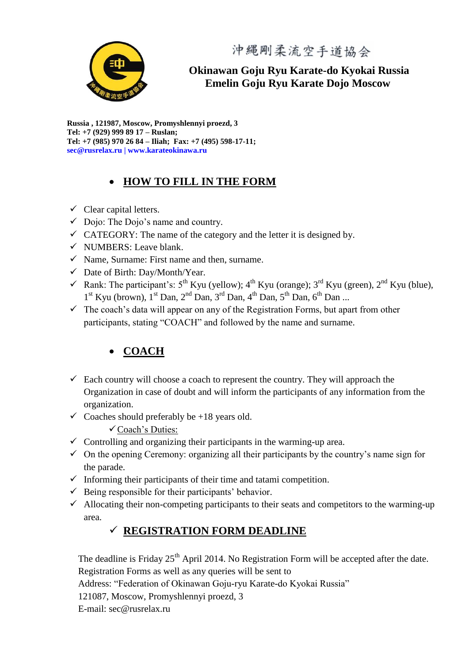

**Okinawan Goju Ryu Karate-do Kyokai Russia Emelin Goju Ryu Karate Dojo Moscow**

**Russia , 121987, Moscow, Promyshlennyi proezd, 3 Tel: +7 (929) 999 89 17 – Ruslan; Tel: +7 (985) 970 26 84 – Iliah; Fax: +7 (495) 598-17-11; sec@rusrelax.ru | www.karateokinawa.ru**

## **HOW TO FILL IN THE FORM**

- $\checkmark$  Clear capital letters.
- $\checkmark$  Dojo: The Dojo's name and country.
- $\checkmark$  CATEGORY: The name of the category and the letter it is designed by.
- $\checkmark$  NUMBERS: Leave blank.
- $\checkmark$  Name, Surname: First name and then, surname.
- $\checkmark$  Date of Birth: Day/Month/Year.
- Rank: The participant's:  $5^{th}$  Kyu (yellow);  $4^{th}$  Kyu (orange);  $3^{rd}$  Kyu (green),  $2^{nd}$  Kyu (blue),  $1<sup>st</sup>$  Kyu (brown),  $1<sup>st</sup>$  Dan,  $2<sup>nd</sup>$  Dan,  $3<sup>rd</sup>$  Dan,  $4<sup>th</sup>$  Dan,  $5<sup>th</sup>$  Dan,  $6<sup>th</sup>$  Dan ...
- $\checkmark$  The coach's data will appear on any of the Registration Forms, but apart from other participants, stating "COACH" and followed by the name and surname.

## **COACH**

- $\checkmark$  Each country will choose a coach to represent the country. They will approach the Organization in case of doubt and will inform the participants of any information from the organization.
- $\checkmark$  Coaches should preferably be +18 years old.
	- Coach's Duties:
- $\checkmark$  Controlling and organizing their participants in the warming-up area.
- $\checkmark$  On the opening Ceremony: organizing all their participants by the country's name sign for the parade.
- $\checkmark$  Informing their participants of their time and tatami competition.
- $\checkmark$  Being responsible for their participants' behavior.
- $\checkmark$  Allocating their non-competing participants to their seats and competitors to the warming-up area.

## **REGISTRATION FORM DEADLINE**

The deadline is Friday  $25<sup>th</sup>$  April 2014. No Registration Form will be accepted after the date. Registration Forms as well as any queries will be sent to

Address: "Federation of Okinawan Goju-ryu Karate-do Kyokai Russia"

121087, Moscow, Promyshlennyi proezd, 3

E-mail: sec@rusrelax.ru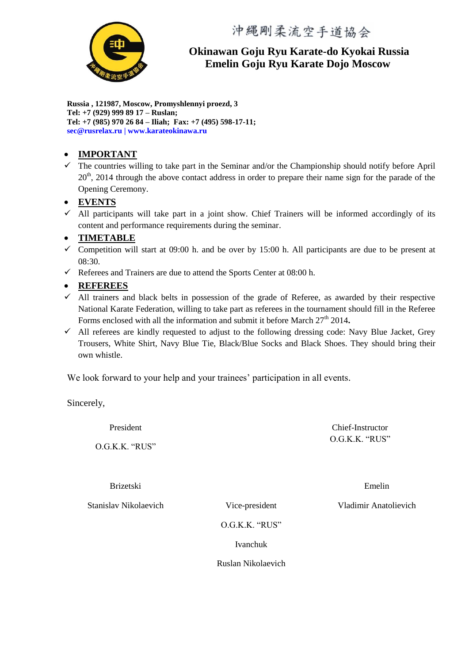

**Okinawan Goju Ryu Karate-do Kyokai Russia Emelin Goju Ryu Karate Dojo Moscow**

**Russia , 121987, Moscow, Promyshlennyi proezd, 3 Tel: +7 (929) 999 89 17 – Ruslan; Tel: +7 (985) 970 26 84 – Iliah; Fax: +7 (495) 598-17-11; sec@rusrelax.ru | www.karateokinawa.ru**

#### **IMPORTANT**

 $\checkmark$  The countries willing to take part in the Seminar and/or the Championship should notify before April  $20<sup>th</sup>$ , 2014 through the above contact address in order to prepare their name sign for the parade of the Opening Ceremony.

#### **EVENTS**

 $\checkmark$  All participants will take part in a joint show. Chief Trainers will be informed accordingly of its content and performance requirements during the seminar.

#### **TIMETABLE**

- $\checkmark$  Competition will start at 09:00 h. and be over by 15:00 h. All participants are due to be present at 08:30.
- Referees and Trainers are due to attend the Sports Center at  $08:00$  h.

#### **REFEREES**

- $\checkmark$  All trainers and black belts in possession of the grade of Referee, as awarded by their respective National Karate Federation, willing to take part as referees in the tournament should fill in the Referee Forms enclosed with all the information and submit it before March  $27<sup>th</sup> 2014$ .
- $\checkmark$  All referees are kindly requested to adjust to the following dressing code: Navy Blue Jacket, Grey Trousers, White Shirt, Navy Blue Tie, Black/Blue Socks and Black Shoes. They should bring their own whistle.

We look forward to your help and your trainees' participation in all events.

Sincerely,

President

O.G.K.K. "RUS"

Brizetski

Stanislav Nikolaevich Vice-president

Chief-Instructor O.G.K.K. "RUS"

Emelin

Vladimir Anatolievich

O.G.K.K. "RUS"

Ivanchuk

Ruslan Nikolaevich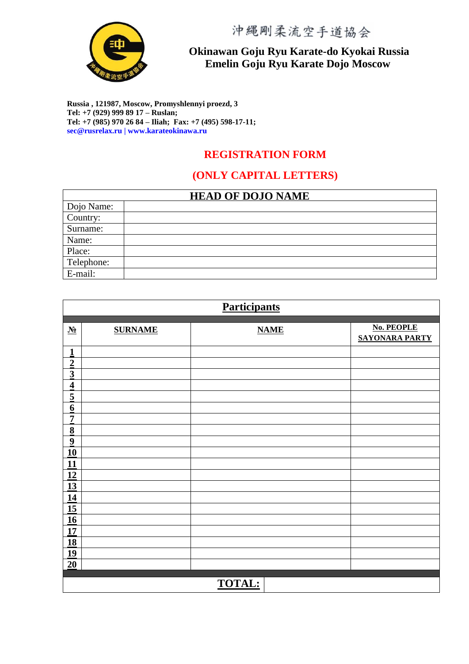

## **Okinawan Goju Ryu Karate-do Kyokai Russia Emelin Goju Ryu Karate Dojo Moscow**

**Russia , 121987, Moscow, Promyshlennyi proezd, 3 Tel: +7 (929) 999 89 17 – Ruslan; Tel: +7 (985) 970 26 84 – Iliah; Fax: +7 (495) 598-17-11; sec@rusrelax.ru | www.karateokinawa.ru**

#### **REGISTRATION FORM**

#### **(ONLY CAPITAL LETTERS)**

| <b>HEAD OF DOJO NAME</b> |  |  |  |  |
|--------------------------|--|--|--|--|
| Dojo Name:               |  |  |  |  |
| Country:                 |  |  |  |  |
| Surname:                 |  |  |  |  |
| Name:                    |  |  |  |  |
| Place:                   |  |  |  |  |
| Telephone:               |  |  |  |  |
| E-mail:                  |  |  |  |  |

| <b>Participants</b>                        |                |               |                                            |  |  |
|--------------------------------------------|----------------|---------------|--------------------------------------------|--|--|
|                                            |                |               |                                            |  |  |
| $\underline{\mathbf{N}}$ <sup>o</sup>      | <b>SURNAME</b> | <b>NAME</b>   | <b>No. PEOPLE</b><br><b>SAYONARA PARTY</b> |  |  |
| $\overline{1}$                             |                |               |                                            |  |  |
| $\frac{2}{3}$                              |                |               |                                            |  |  |
|                                            |                |               |                                            |  |  |
| $\overline{4}$                             |                |               |                                            |  |  |
| $\overline{5}$                             |                |               |                                            |  |  |
| $\underline{6}$                            |                |               |                                            |  |  |
| $\overline{1}$                             |                |               |                                            |  |  |
| $\underline{8}$<br>$\overline{\mathbf{9}}$ |                |               |                                            |  |  |
| 10                                         |                |               |                                            |  |  |
| 11                                         |                |               |                                            |  |  |
| 12                                         |                |               |                                            |  |  |
| 13                                         |                |               |                                            |  |  |
| 14                                         |                |               |                                            |  |  |
| 15                                         |                |               |                                            |  |  |
| 16                                         |                |               |                                            |  |  |
| 17                                         |                |               |                                            |  |  |
| 18<br>19                                   |                |               |                                            |  |  |
| 20                                         |                |               |                                            |  |  |
|                                            |                |               |                                            |  |  |
|                                            |                | <b>TOTAL:</b> |                                            |  |  |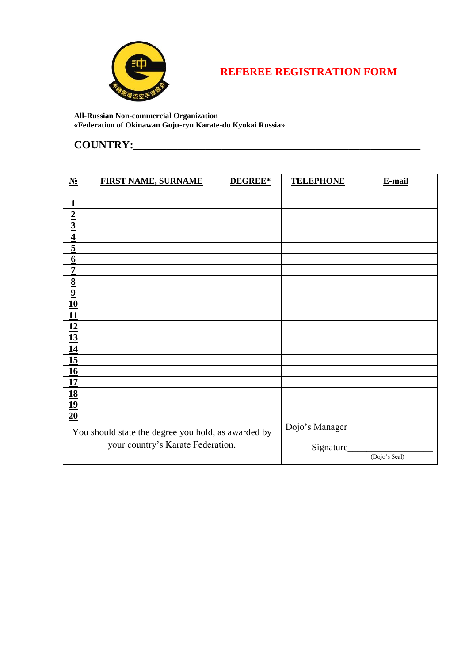

## **REFEREE REGISTRATION FORM**

#### **All-Russian Non-commercial Organization «Federation of Okinawan Goju-ryu Karate-do Kyokai Russia»**

## **COUNTRY:\_\_\_\_\_\_\_\_\_\_\_\_\_\_\_\_\_\_\_\_\_\_\_\_\_\_\_\_\_\_\_\_\_\_\_\_\_\_\_\_\_\_\_\_\_\_\_\_\_\_\_\_**

| $\underline{\mathbf{N}}$                            | <b>FIRST NAME, SURNAME</b> | DEGREE*        | <b>TELEPHONE</b> | E-mail        |
|-----------------------------------------------------|----------------------------|----------------|------------------|---------------|
| $\overline{1}$                                      |                            |                |                  |               |
|                                                     |                            |                |                  |               |
| $\frac{2}{3}$                                       |                            |                |                  |               |
| $\overline{4}$                                      |                            |                |                  |               |
| $\overline{5}$                                      |                            |                |                  |               |
| $\overline{\mathbf{6}}$                             |                            |                |                  |               |
| $\overline{7}$                                      |                            |                |                  |               |
| $\underline{8}$                                     |                            |                |                  |               |
| $\overline{\mathbf{9}}$                             |                            |                |                  |               |
| 10                                                  |                            |                |                  |               |
| 11                                                  |                            |                |                  |               |
| 12                                                  |                            |                |                  |               |
| 13                                                  |                            |                |                  |               |
| 14                                                  |                            |                |                  |               |
| 15                                                  |                            |                |                  |               |
| 16                                                  |                            |                |                  |               |
| 17                                                  |                            |                |                  |               |
| 18                                                  |                            |                |                  |               |
| 19                                                  |                            |                |                  |               |
| 20                                                  |                            |                |                  |               |
| You should state the degree you hold, as awarded by |                            | Dojo's Manager |                  |               |
| your country's Karate Federation.                   |                            | Signature      |                  |               |
|                                                     |                            |                |                  | (Dojo's Seal) |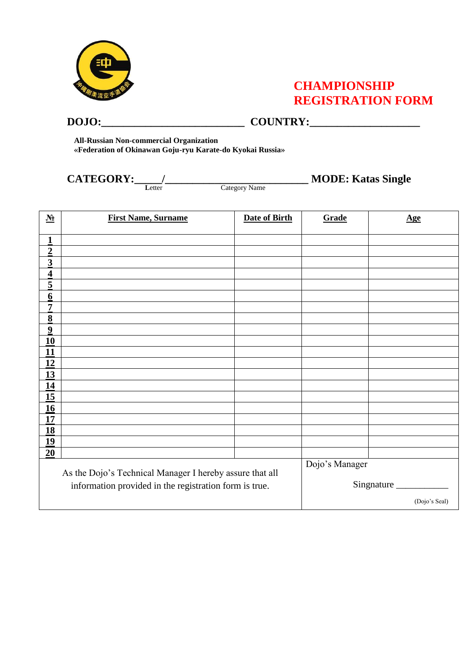

## **CHAMPIONSHIP REGISTRATION FORM**

#### **DOJO:\_\_\_\_\_\_\_\_\_\_\_\_\_\_\_\_\_\_\_\_\_\_\_\_\_\_ COUNTRY:\_\_\_\_\_\_\_\_\_\_\_\_\_\_\_\_\_\_\_\_**

**All-Russian Non-commercial Organization «Federation of Okinawan Goju-ryu Karate-do Kyokai Russia»**

**Letter** Category Name

**CATEGORY:\_\_\_\_\_/\_\_\_\_\_\_\_\_\_\_\_\_\_\_\_\_\_\_\_\_\_\_\_\_\_\_ MODE: Katas Single**

| $\underline{\mathbf{N}}$ <sup>0</sup>                                                                              | <b>First Name, Surname</b> | <b>Date of Birth</b>         | Grade | <u>Age</u>    |
|--------------------------------------------------------------------------------------------------------------------|----------------------------|------------------------------|-------|---------------|
| $\mathbf{1}$                                                                                                       |                            |                              |       |               |
| $\overline{2}$                                                                                                     |                            |                              |       |               |
| $\overline{3}$                                                                                                     |                            |                              |       |               |
| $\overline{\mathbf{4}}$                                                                                            |                            |                              |       |               |
| $\overline{5}$                                                                                                     |                            |                              |       |               |
| $6\phantom{0}6$                                                                                                    |                            |                              |       |               |
| $\overline{7}$                                                                                                     |                            |                              |       |               |
| $\underline{8}$                                                                                                    |                            |                              |       |               |
| $\boldsymbol{9}$                                                                                                   |                            |                              |       |               |
| 10                                                                                                                 |                            |                              |       |               |
| 11                                                                                                                 |                            |                              |       |               |
| 12                                                                                                                 |                            |                              |       |               |
| 13                                                                                                                 |                            |                              |       |               |
| 14                                                                                                                 |                            |                              |       |               |
| 15                                                                                                                 |                            |                              |       |               |
| 16                                                                                                                 |                            |                              |       |               |
| 17                                                                                                                 |                            |                              |       |               |
| 18                                                                                                                 |                            |                              |       |               |
| 19                                                                                                                 |                            |                              |       |               |
| 20                                                                                                                 |                            |                              |       |               |
| As the Dojo's Technical Manager I hereby assure that all<br>information provided in the registration form is true. |                            | Dojo's Manager<br>Singnature |       |               |
|                                                                                                                    |                            |                              |       | (Dojo's Seal) |